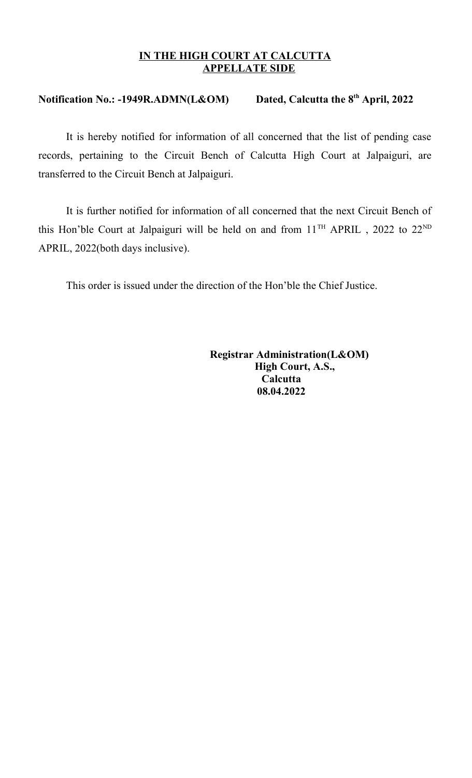## **IN THE HIGH COURT AT CALCUTTA APPELLATE SIDE**

## **Notification No.: -1949R.ADMN(L&OM) Dated, Calcutta the 8th April, 2022**

It is hereby notified for information of all concerned that the list of pending case records, pertaining to the Circuit Bench of Calcutta High Court at Jalpaiguri, are transferred to the Circuit Bench at Jalpaiguri.

It is further notified for information of all concerned that the next Circuit Bench of this Hon'ble Court at Jalpaiguri will be held on and from  $11<sup>TH</sup>$  APRIL, 2022 to  $22<sup>ND</sup>$ APRIL, 2022(both days inclusive).

This order is issued under the direction of the Hon'ble the Chief Justice.

 **Registrar Administration(L&OM) High Court, A.S., Calcutta 08.04.2022**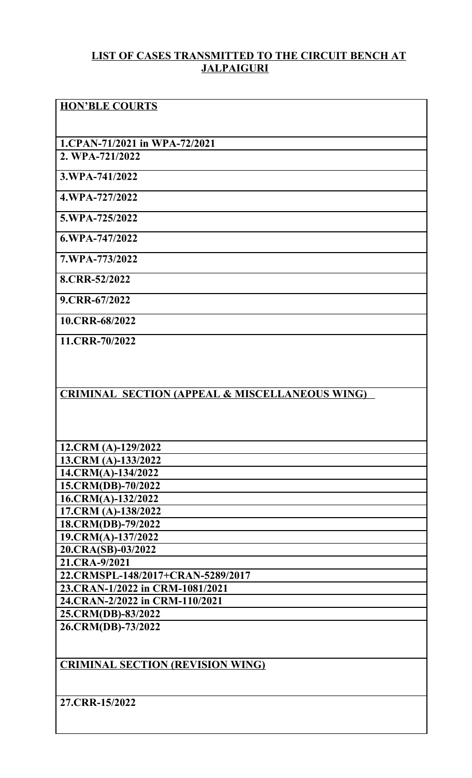## **LIST OF CASES TRANSMITTED TO THE CIRCUIT BENCH AT JALPAIGURI**

| <b>HON'BLE COURTS</b>                                     |
|-----------------------------------------------------------|
|                                                           |
|                                                           |
| 1.CPAN-71/2021 in WPA-72/2021                             |
| 2. WPA-721/2022                                           |
| 3.WPA-741/2022                                            |
| 4.WPA-727/2022                                            |
| 5.WPA-725/2022                                            |
| 6.WPA-747/2022                                            |
| 7.WPA-773/2022                                            |
| 8.CRR-52/2022                                             |
| 9.CRR-67/2022                                             |
| 10.CRR-68/2022                                            |
| 11.CRR-70/2022                                            |
|                                                           |
|                                                           |
|                                                           |
|                                                           |
| <b>CRIMINAL SECTION (APPEAL &amp; MISCELLANEOUS WING)</b> |
|                                                           |
|                                                           |
|                                                           |
| 12.CRM (A)-129/2022                                       |
| 13.CRM (A)-133/2022                                       |
| 14.CRM(A)-134/2022                                        |
| 15.CRM(DB)-70/2022                                        |
| 16.CRM(A)-132/2022                                        |
| 17.CRM (A)-138/2022                                       |
| 18.CRM(DB)-79/2022                                        |
| 19.CRM(A)-137/2022                                        |
| 20.CRA(SB)-03/2022                                        |
| 21.CRA-9/2021                                             |
| 22.CRMSPL-148/2017+CRAN-5289/2017                         |
| 23.CRAN-1/2022 in CRM-1081/2021                           |
| 24.CRAN-2/2022 in CRM-110/2021                            |
| 25.CRM(DB)-83/2022                                        |
| 26.CRM(DB)-73/2022                                        |
|                                                           |
|                                                           |
| <b>CRIMINAL SECTION (REVISION WING)</b>                   |
|                                                           |
|                                                           |
| 27.CRR-15/2022                                            |

 $\mathsf{l}$